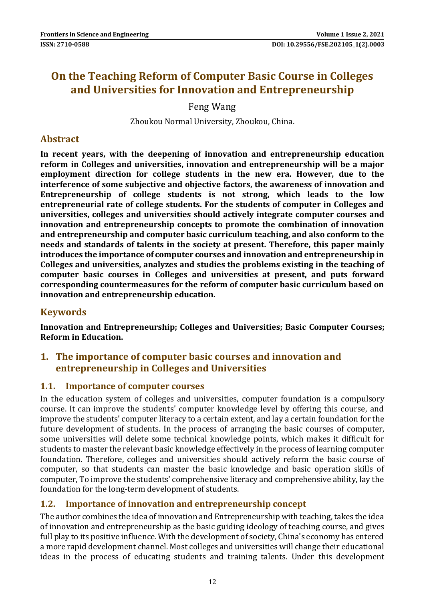# **On the Teaching Reform of Computer Basic Course in Colleges and Universities for Innovation and Entrepreneurship**

Feng Wang

Zhoukou Normal University, Zhoukou, China.

### **Abstract**

**In recent years, with the deepening of innovation and entrepreneurship education reform in Colleges and universities, innovation and entrepreneurship will be a major employment direction for college students in the new era. However, due to the interference of some subjective and objective factors, the awareness of innovation and Entrepreneurship of college students is not strong, which leads to the low entrepreneurial rate of college students. For the students of computer in Colleges and universities, colleges and universities should actively integrate computer courses and innovation and entrepreneurship concepts to promote the combination of innovation and entrepreneurship and computer basic curriculum teaching, and also conform to the needs and standards of talents in the society at present. Therefore, this paper mainly introduces the importance of computer courses and innovation and entrepreneurship in Colleges and universities, analyzes and studies the problems existing in the teaching of computer basic courses in Colleges and universities at present, and puts forward corresponding countermeasures for the reform of computer basic curriculum based on innovation and entrepreneurship education.**

# **Keywords**

**Innovation and Entrepreneurship; Colleges and Universities; Basic Computer Courses; Reform in Education.**

# **1. The importance of computer basic courses and innovation and entrepreneurship in Colleges and Universities**

#### **1.1. Importance of computer courses**

In the education system of colleges and universities, computer foundation is a compulsory course. It can improve the students' computer knowledge level by offering this course, and improve the students' computer literacy to a certain extent, and lay a certain foundation for the future development of students. In the process of arranging the basic courses of computer, some universities will delete some technical knowledge points, which makes it difficult for students to master the relevant basic knowledge effectively in the process of learning computer foundation. Therefore, colleges and universities should actively reform the basic course of computer, so that students can master the basic knowledge and basic operation skills of computer, To improve the students' comprehensive literacy and comprehensive ability, lay the foundation for the long-term development of students.

# **1.2. Importance of innovation and entrepreneurship concept**

The author combines the idea of innovation and Entrepreneurship with teaching, takes the idea of innovation and entrepreneurship as the basic guiding ideology of teaching course, and gives full play to its positive influence. With the development of society, China's economy has entered a more rapid development channel. Most colleges and universities will change their educational ideas in the process of educating students and training talents. Under this development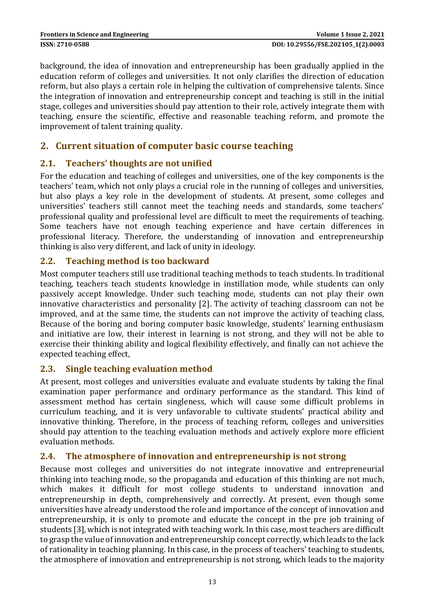background, the idea of innovation and entrepreneurship has been gradually applied in the education reform of colleges and universities. It not only clarifies the direction of education reform, but also plays a certain role in helping the cultivation of comprehensive talents. Since the integration of innovation and entrepreneurship concept and teaching is still in the initial stage, colleges and universities should pay attention to their role, actively integrate them with teaching, ensure the scientific, effective and reasonable teaching reform, and promote the improvement of talent training quality.

# **2. Current situation of computer basic course teaching**

#### **2.1. Teachers' thoughts are not unified**

For the education and teaching of colleges and universities, one of the key components is the teachers' team, which not only plays a crucial role in the running of colleges and universities, but also plays a key role in the development of students. At present, some colleges and universities' teachers still cannot meet the teaching needs and standards, some teachers' professional quality and professional level are difficult to meet the requirements of teaching. Some teachers have not enough teaching experience and have certain differences in professional literacy. Therefore, the understanding of innovation and entrepreneurship thinking is also very different, and lack of unity in ideology.

# **2.2. Teaching method is too backward**

Most computer teachers still use traditional teaching methods to teach students. In traditional teaching, teachers teach students knowledge in instillation mode, while students can only passively accept knowledge. Under such teaching mode, students can not play their own innovative characteristics and personality [2]. The activity of teaching classroom can not be improved, and at the same time, the students can not improve the activity of teaching class, Because of the boring and boring computer basic knowledge, students' learning enthusiasm and initiative are low, their interest in learning is not strong, and they will not be able to exercise their thinking ability and logical flexibility effectively, and finally can not achieve the expected teaching effect,

#### **2.3. Single teaching evaluation method**

At present, most colleges and universities evaluate and evaluate students by taking the final examination paper performance and ordinary performance as the standard. This kind of assessment method has certain singleness, which will cause some difficult problems in curriculum teaching, and it is very unfavorable to cultivate students' practical ability and innovative thinking. Therefore, in the process of teaching reform, colleges and universities should pay attention to the teaching evaluation methods and actively explore more efficient evaluation methods.

# **2.4. The atmosphere of innovation and entrepreneurship is not strong**

Because most colleges and universities do not integrate innovative and entrepreneurial thinking into teaching mode, so the propaganda and education of this thinking are not much, which makes it difficult for most college students to understand innovation and entrepreneurship in depth, comprehensively and correctly. At present, even though some universities have already understood the role and importance of the concept of innovation and entrepreneurship, it is only to promote and educate the concept in the pre job training of students [3], which is not integrated with teaching work. In this case, most teachers are difficult to grasp the value of innovation and entrepreneurship concept correctly, which leads to the lack of rationality in teaching planning. In this case, in the process of teachers' teaching to students, the atmosphere of innovation and entrepreneurship is not strong, which leads to the majority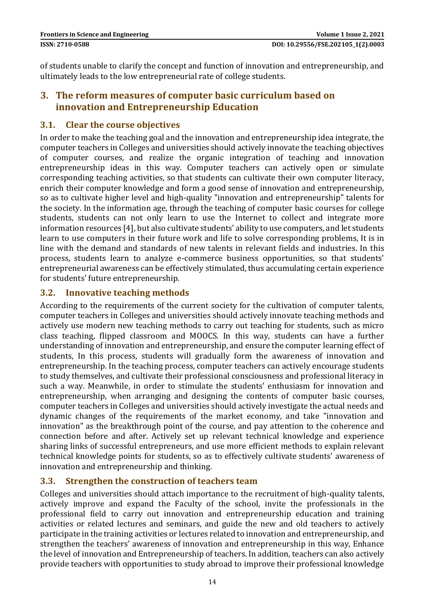of students unable to clarify the concept and function of innovation and entrepreneurship, and ultimately leads to the low entrepreneurial rate of college students.

# **3. The reform measures of computer basic curriculum based on innovation and Entrepreneurship Education**

#### **3.1. Clear the course objectives**

In order to make the teaching goal and the innovation and entrepreneurship idea integrate, the computer teachers in Colleges and universities should actively innovate the teaching objectives of computer courses, and realize the organic integration of teaching and innovation entrepreneurship ideas in this way. Computer teachers can actively open or simulate corresponding teaching activities, so that students can cultivate their own computer literacy, enrich their computer knowledge and form a good sense of innovation and entrepreneurship, so as to cultivate higher level and high-quality "innovation and entrepreneurship" talents for the society. In the information age, through the teaching of computer basic courses for college students, students can not only learn to use the Internet to collect and integrate more information resources [4], but also cultivate students' ability to use computers, and let students learn to use computers in their future work and life to solve corresponding problems, It is in line with the demand and standards of new talents in relevant fields and industries. In this process, students learn to analyze e-commerce business opportunities, so that students' entrepreneurial awareness can be effectively stimulated, thus accumulating certain experience for students' future entrepreneurship.

#### **3.2. Innovative teaching methods**

According to the requirements of the current society for the cultivation of computer talents, computer teachers in Colleges and universities should actively innovate teaching methods and actively use modern new teaching methods to carry out teaching for students, such as micro class teaching, flipped classroom and MOOCS. In this way, students can have a further understanding of innovation and entrepreneurship, and ensure the computer learning effect of students, In this process, students will gradually form the awareness of innovation and entrepreneurship. In the teaching process, computer teachers can actively encourage students to study themselves, and cultivate their professional consciousness and professional literacy in such a way. Meanwhile, in order to stimulate the students' enthusiasm for innovation and entrepreneurship, when arranging and designing the contents of computer basic courses, computer teachers in Colleges and universities should actively investigate the actual needs and dynamic changes of the requirements of the market economy, and take "innovation and innovation" as the breakthrough point of the course, and pay attention to the coherence and connection before and after. Actively set up relevant technical knowledge and experience sharing links of successful entrepreneurs, and use more efficient methods to explain relevant technical knowledge points for students, so as to effectively cultivate students' awareness of innovation and entrepreneurship and thinking.

#### **3.3. Strengthen the construction of teachers team**

Colleges and universities should attach importance to the recruitment of high-quality talents, actively improve and expand the Faculty of the school, invite the professionals in the professional field to carry out innovation and entrepreneurship education and training activities or related lectures and seminars, and guide the new and old teachers to actively participate in the training activities or lectures related to innovation and entrepreneurship, and strengthen the teachers' awareness of innovation and entrepreneurship in this way, Enhance the level of innovation and Entrepreneurship of teachers. In addition, teachers can also actively provide teachers with opportunities to study abroad to improve their professional knowledge